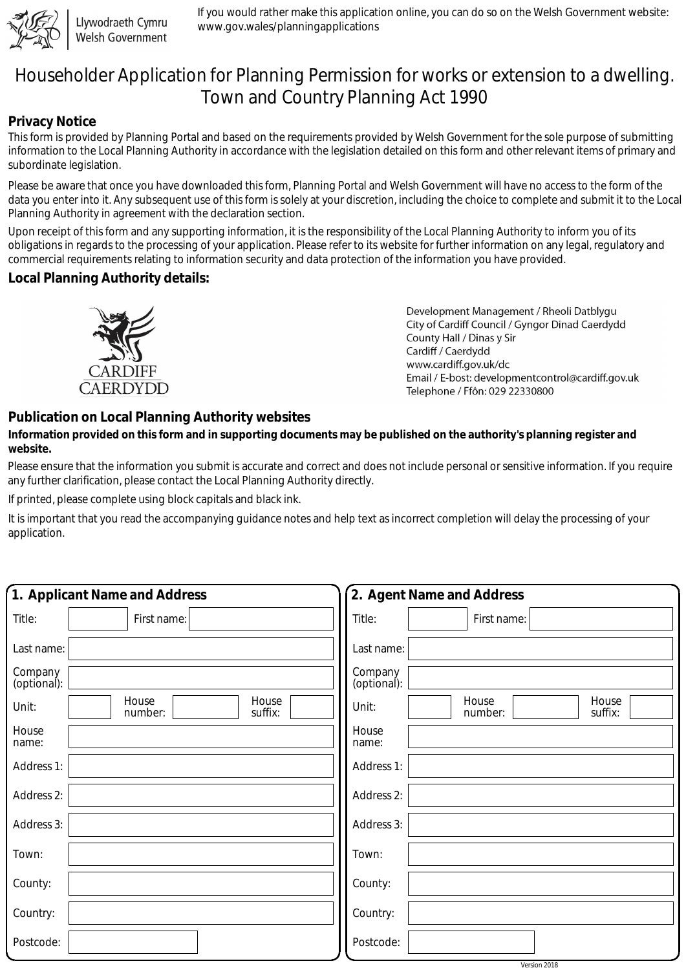

Llywodraeth Cymru Welsh Government If you would rather make this application online, you can do so on the Welsh Government website: www.gov.wales/planningapplications

# Householder Application for Planning Permission for works or extension to a dwelling. Town and Country Planning Act 1990

### **Privacy Notice**

This form is provided by Planning Portal and based on the requirements provided by Welsh Government for the sole purpose of submitting information to the Local Planning Authority in accordance with the legislation detailed on this form and other relevant items of primary and subordinate legislation.

Please be aware that once you have downloaded this form, Planning Portal and Welsh Government will have no access to the form of the data you enter into it. Any subsequent use of this form is solely at your discretion, including the choice to complete and submit it to the Local Planning Authority in agreement with the declaration section.

Upon receipt of this form and any supporting information, it is the responsibility of the Local Planning Authority to inform you of its obligations in regards to the processing of your application. Please refer to its website for further information on any legal, regulatory and commercial requirements relating to information security and data protection of the information you have provided.

#### **Local Planning Authority details:**



Development Management / Rheoli Datblygu City of Cardiff Council / Gyngor Dinad Caerdydd County Hall / Dinas y Sir Cardiff / Caerdydd www.cardiff.gov.uk/dc Email / E-bost: developmentcontrol@cardiff.gov.uk Telephone / Ffôn: 029 22330800

## **Publication on Local Planning Authority websites**

#### **Information provided on this form and in supporting documents may be published on the authority's planning register and website.**

Please ensure that the information you submit is accurate and correct and does not include personal or sensitive information. If you require any further clarification, please contact the Local Planning Authority directly.

If printed, please complete using block capitals and black ink.

It is important that you read the accompanying guidance notes and help text as incorrect completion will delay the processing of your application.

| 1. Applicant Name and Address                 | 2. Agent Name and Address                     |
|-----------------------------------------------|-----------------------------------------------|
| Title:<br>First name:                         | Title:<br>First name:                         |
| Last name:                                    | Last name:                                    |
| Company<br>(optional):                        | Company<br>(optional):                        |
| House<br>House<br>Unit:<br>suffix:<br>number: | House<br>House<br>Unit:<br>suffix:<br>number: |
| House<br>name:                                | House<br>name:                                |
| Address 1:                                    | Address 1:                                    |
| Address 2:                                    | Address 2:                                    |
| Address 3:                                    | Address 3:                                    |
| Town:                                         | Town:                                         |
| County:                                       | County:                                       |
| Country:                                      | Country:                                      |
| Postcode:                                     | Postcode:                                     |

Version 2018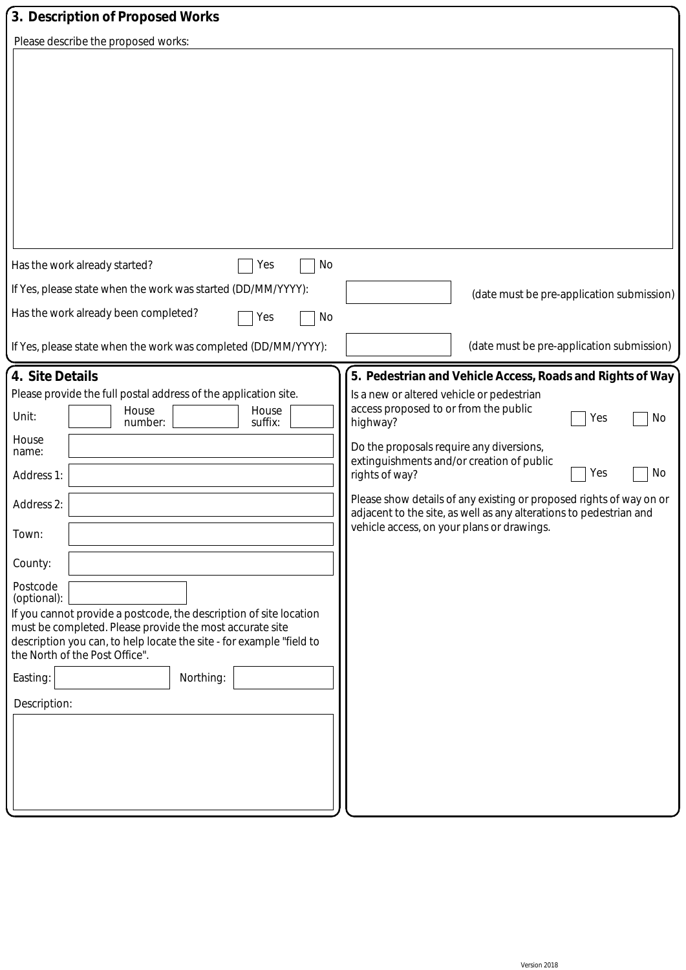| 3. Description of Proposed Works                                                                                                                                                                                                                                                                                                                                                                                                                                                                                      |                                                                                                                                                                                                                                                                                                                                                                                                                                                                                             |
|-----------------------------------------------------------------------------------------------------------------------------------------------------------------------------------------------------------------------------------------------------------------------------------------------------------------------------------------------------------------------------------------------------------------------------------------------------------------------------------------------------------------------|---------------------------------------------------------------------------------------------------------------------------------------------------------------------------------------------------------------------------------------------------------------------------------------------------------------------------------------------------------------------------------------------------------------------------------------------------------------------------------------------|
| Please describe the proposed works:                                                                                                                                                                                                                                                                                                                                                                                                                                                                                   |                                                                                                                                                                                                                                                                                                                                                                                                                                                                                             |
| Has the work already started?<br>No<br>Yes                                                                                                                                                                                                                                                                                                                                                                                                                                                                            |                                                                                                                                                                                                                                                                                                                                                                                                                                                                                             |
| If Yes, please state when the work was started (DD/MM/YYYY):                                                                                                                                                                                                                                                                                                                                                                                                                                                          | (date must be pre-application submission)                                                                                                                                                                                                                                                                                                                                                                                                                                                   |
| Has the work already been completed?<br>No<br>Yes<br>If Yes, please state when the work was completed (DD/MM/YYYY):                                                                                                                                                                                                                                                                                                                                                                                                   | (date must be pre-application submission)                                                                                                                                                                                                                                                                                                                                                                                                                                                   |
|                                                                                                                                                                                                                                                                                                                                                                                                                                                                                                                       |                                                                                                                                                                                                                                                                                                                                                                                                                                                                                             |
| 4. Site Details<br>Please provide the full postal address of the application site.<br>House<br>House<br>Unit:<br>suffix:<br>number:<br>House<br>name:<br>Address 1:<br>Address 2:<br>Town:<br>County:<br>Postcode<br>(optional):<br>If you cannot provide a postcode, the description of site location<br>must be completed. Please provide the most accurate site<br>description you can, to help locate the site - for example "field to<br>the North of the Post Office".<br>Easting:<br>Northing:<br>Description: | 5. Pedestrian and Vehicle Access, Roads and Rights of Way<br>Is a new or altered vehicle or pedestrian<br>access proposed to or from the public<br>Yes<br>No<br>highway?<br>Do the proposals require any diversions,<br>extinguishments and/or creation of public<br>No<br>Yes<br>rights of way?<br>Please show details of any existing or proposed rights of way on or<br>adjacent to the site, as well as any alterations to pedestrian and<br>vehicle access, on your plans or drawings. |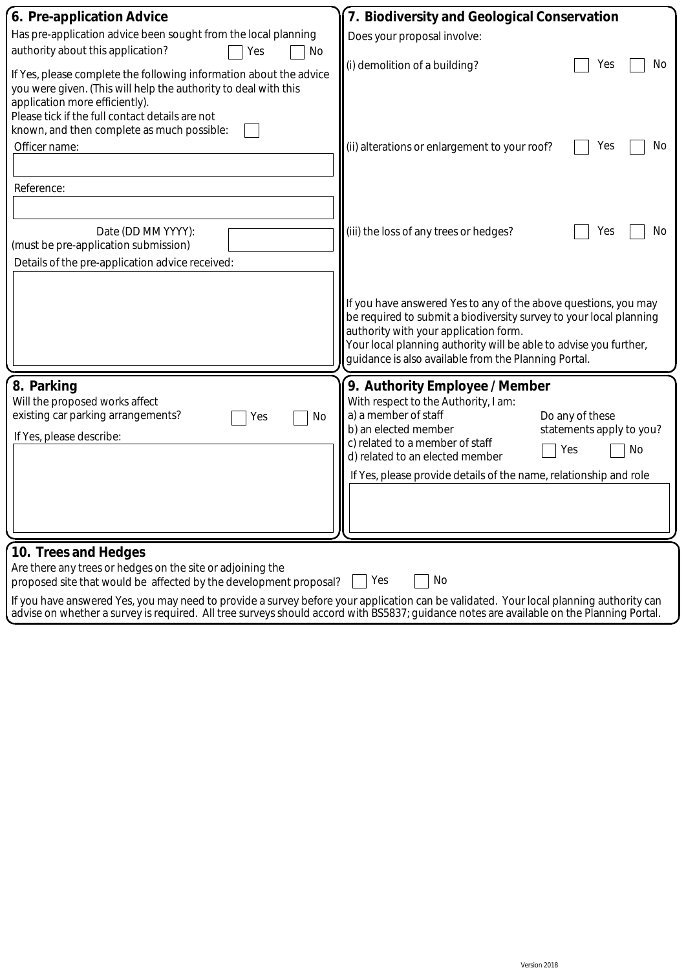| 6. Pre-application Advice                                                                                                                | 7. Biodiversity and Geological Conservation                        |  |
|------------------------------------------------------------------------------------------------------------------------------------------|--------------------------------------------------------------------|--|
| Has pre-application advice been sought from the local planning                                                                           | Does your proposal involve:                                        |  |
| authority about this application?<br>Yes<br>No                                                                                           |                                                                    |  |
| If Yes, please complete the following information about the advice                                                                       | (i) demolition of a building?<br>Yes<br>No                         |  |
| you were given. (This will help the authority to deal with this                                                                          |                                                                    |  |
| application more efficiently).                                                                                                           |                                                                    |  |
| Please tick if the full contact details are not                                                                                          |                                                                    |  |
| known, and then complete as much possible:                                                                                               |                                                                    |  |
| Officer name:                                                                                                                            | (ii) alterations or enlargement to your roof?<br>No<br>Yes         |  |
|                                                                                                                                          |                                                                    |  |
| Reference:                                                                                                                               |                                                                    |  |
|                                                                                                                                          |                                                                    |  |
|                                                                                                                                          |                                                                    |  |
| Date (DD MM YYYY):                                                                                                                       | (iii) the loss of any trees or hedges?<br>Yes<br>No.               |  |
| (must be pre-application submission)                                                                                                     |                                                                    |  |
| Details of the pre-application advice received:                                                                                          |                                                                    |  |
|                                                                                                                                          |                                                                    |  |
|                                                                                                                                          | If you have answered Yes to any of the above questions, you may    |  |
|                                                                                                                                          | be required to submit a biodiversity survey to your local planning |  |
|                                                                                                                                          | authority with your application form.                              |  |
|                                                                                                                                          | Your local planning authority will be able to advise you further,  |  |
|                                                                                                                                          | guidance is also available from the Planning Portal.               |  |
| 8. Parking                                                                                                                               | 9. Authority Employee / Member                                     |  |
| Will the proposed works affect                                                                                                           | With respect to the Authority, I am:                               |  |
| existing car parking arrangements?<br>No<br>Yes                                                                                          | a) a member of staff<br>Do any of these                            |  |
| If Yes, please describe:                                                                                                                 | b) an elected member<br>statements apply to you?                   |  |
|                                                                                                                                          | c) related to a member of staff<br>No<br>Yes                       |  |
|                                                                                                                                          | d) related to an elected member                                    |  |
|                                                                                                                                          | If Yes, please provide details of the name, relationship and role  |  |
|                                                                                                                                          |                                                                    |  |
|                                                                                                                                          |                                                                    |  |
|                                                                                                                                          |                                                                    |  |
| 10. Trees and Hedges                                                                                                                     |                                                                    |  |
| Are there any trees or hedges on the site or adjoining the                                                                               |                                                                    |  |
| Yes<br>No<br>proposed site that would be affected by the development proposal?                                                           |                                                                    |  |
| If you have answered Yes, you may need to provide a survey before your application can be validated. Your local planning authority can   |                                                                    |  |
| advise on whether a survey is required. All tree surveys should accord with BS5837; guidance notes are available on the Planning Portal. |                                                                    |  |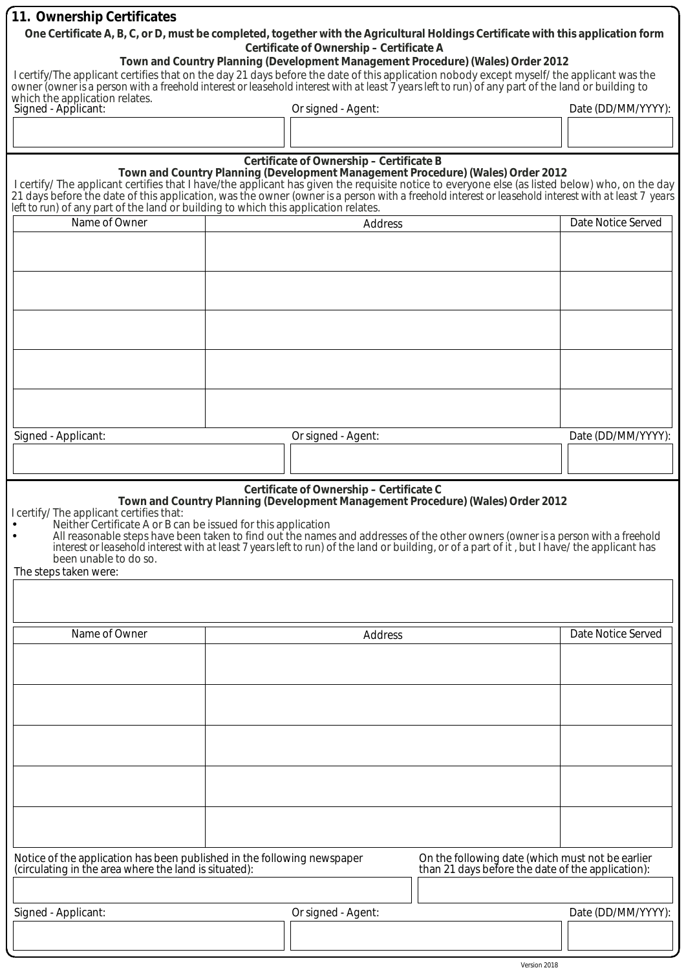| 11. Ownership Certificates                                                                                                                                                                                                                                                                                                                                                                                                                                                                                                 |                                                      |                    |                                                                                                       |                    |
|----------------------------------------------------------------------------------------------------------------------------------------------------------------------------------------------------------------------------------------------------------------------------------------------------------------------------------------------------------------------------------------------------------------------------------------------------------------------------------------------------------------------------|------------------------------------------------------|--------------------|-------------------------------------------------------------------------------------------------------|--------------------|
| One Certificate A, B, C, or D, must be completed, together with the Agricultural Holdings Certificate with this application form<br>Certificate of Ownership - Certificate A                                                                                                                                                                                                                                                                                                                                               |                                                      |                    |                                                                                                       |                    |
| Town and Country Planning (Development Management Procedure) (Wales) Order 2012<br>I certify/The applicant certifies that on the day 21 days before the date of this application nobody except myself/ the applicant was the<br>owner <i>(owner is a person with a freehold interest or leasehold interest with at least 7 years left to run)</i> of any part of the land or building to                                                                                                                                   |                                                      |                    |                                                                                                       |                    |
| Signed - Applicant:                                                                                                                                                                                                                                                                                                                                                                                                                                                                                                        | which the application relates.<br>Or signed - Agent: |                    | Date (DD/MM/YYYY):                                                                                    |                    |
|                                                                                                                                                                                                                                                                                                                                                                                                                                                                                                                            |                                                      |                    |                                                                                                       |                    |
| Certificate of Ownership - Certificate B<br>Town and Country Planning (Development Management Procedure) (Wales) Order 2012<br>I certify/ The applicant certifies that I have/the applicant has given the requisite notice to everyone else (as listed below) who, on the day<br>21 days before the date of this application, was the owner (owner is a person with a freehold interest or leasehold interest with at least 7 years<br>left to run) of any part of the land or building to which this application relates. |                                                      |                    |                                                                                                       |                    |
| Name of Owner                                                                                                                                                                                                                                                                                                                                                                                                                                                                                                              |                                                      | Address            |                                                                                                       | Date Notice Served |
|                                                                                                                                                                                                                                                                                                                                                                                                                                                                                                                            |                                                      |                    |                                                                                                       |                    |
|                                                                                                                                                                                                                                                                                                                                                                                                                                                                                                                            |                                                      |                    |                                                                                                       |                    |
|                                                                                                                                                                                                                                                                                                                                                                                                                                                                                                                            |                                                      |                    |                                                                                                       |                    |
| Signed - Applicant:                                                                                                                                                                                                                                                                                                                                                                                                                                                                                                        |                                                      | Or signed - Agent: |                                                                                                       | Date (DD/MM/YYYY): |
|                                                                                                                                                                                                                                                                                                                                                                                                                                                                                                                            |                                                      |                    |                                                                                                       |                    |
| I certify/ The applicant certifies that:<br>Neither Certificate A or B can be issued for this application<br>All reasonable steps have been taken to find out the names and addresses of the other owners (owner is a person with a freehold<br>interest or leasehold interest with at least 7 years left to run) of the land or building, or of a part of it, but I have/ the applicant has<br>been unable to do so.<br>The steps taken were:                                                                             |                                                      |                    |                                                                                                       |                    |
|                                                                                                                                                                                                                                                                                                                                                                                                                                                                                                                            |                                                      |                    |                                                                                                       |                    |
| Name of Owner                                                                                                                                                                                                                                                                                                                                                                                                                                                                                                              |                                                      | Address            |                                                                                                       | Date Notice Served |
|                                                                                                                                                                                                                                                                                                                                                                                                                                                                                                                            |                                                      |                    |                                                                                                       |                    |
|                                                                                                                                                                                                                                                                                                                                                                                                                                                                                                                            |                                                      |                    |                                                                                                       |                    |
|                                                                                                                                                                                                                                                                                                                                                                                                                                                                                                                            |                                                      |                    |                                                                                                       |                    |
|                                                                                                                                                                                                                                                                                                                                                                                                                                                                                                                            |                                                      |                    |                                                                                                       |                    |
|                                                                                                                                                                                                                                                                                                                                                                                                                                                                                                                            |                                                      |                    |                                                                                                       |                    |
| Notice of the application has been published in the following newspaper<br>(circulating in the area where the land is situated):                                                                                                                                                                                                                                                                                                                                                                                           |                                                      |                    | On the following date (which must not be earlier<br>than 21 days before the date of the application): |                    |
| Signed - Applicant:                                                                                                                                                                                                                                                                                                                                                                                                                                                                                                        |                                                      | Or signed - Agent: |                                                                                                       | Date (DD/MM/YYYY): |
|                                                                                                                                                                                                                                                                                                                                                                                                                                                                                                                            |                                                      |                    |                                                                                                       |                    |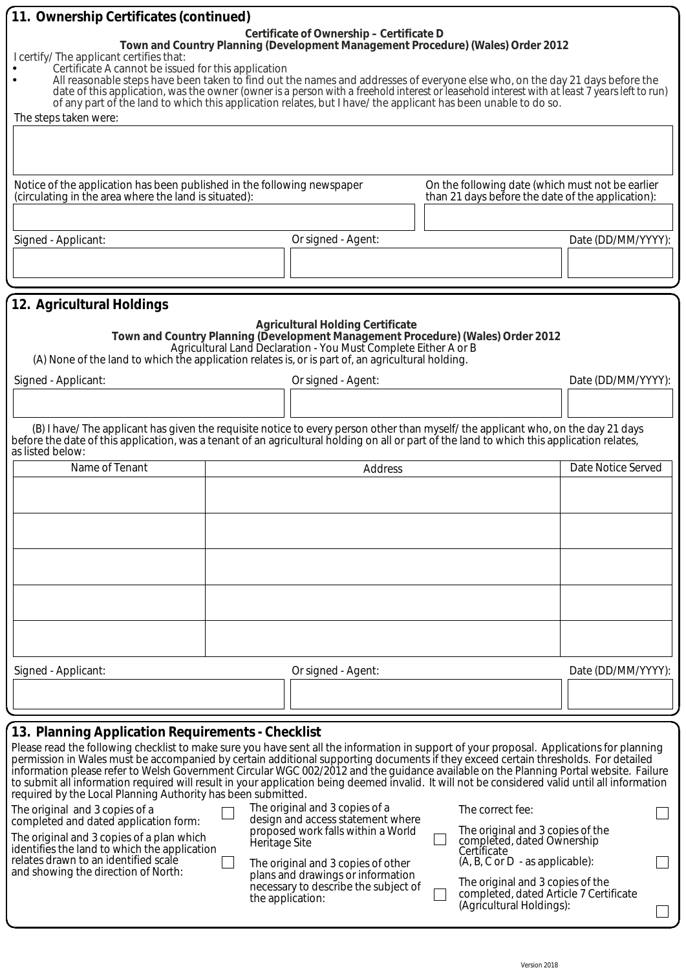| 11. Ownership Certificates (continued)                                                                                                                                                                                                                                                                                                                                                                                                                                                                                                                                                                                                                                                                                                                                                                                                                                                                                                                 |                                                                                                                                                                                                                                               |                                                                                                                       |                                                                                                                |
|--------------------------------------------------------------------------------------------------------------------------------------------------------------------------------------------------------------------------------------------------------------------------------------------------------------------------------------------------------------------------------------------------------------------------------------------------------------------------------------------------------------------------------------------------------------------------------------------------------------------------------------------------------------------------------------------------------------------------------------------------------------------------------------------------------------------------------------------------------------------------------------------------------------------------------------------------------|-----------------------------------------------------------------------------------------------------------------------------------------------------------------------------------------------------------------------------------------------|-----------------------------------------------------------------------------------------------------------------------|----------------------------------------------------------------------------------------------------------------|
| Certificate of Ownership - Certificate D<br>Town and Country Planning (Development Management Procedure) (Wales) Order 2012<br>I certify/ The applicant certifies that:<br>Certificate A cannot be issued for this application<br>All reasonable steps have been taken to find out the names and addresses of everyone else who, on the day 21 days before the<br>date of this application, was the owner (owner is a person with a freehold interest or leasehold interest with at least 7 years left to run)<br>of any part of the land to which this application relates, but I have/ the applicant has been unable to do so.<br>The steps taken were:                                                                                                                                                                                                                                                                                              |                                                                                                                                                                                                                                               |                                                                                                                       |                                                                                                                |
| On the following date (which must not be earlier<br>Notice of the application has been published in the following newspaper<br>(circulating in the area where the land is situated):<br>than 21 days before the date of the application):                                                                                                                                                                                                                                                                                                                                                                                                                                                                                                                                                                                                                                                                                                              |                                                                                                                                                                                                                                               |                                                                                                                       |                                                                                                                |
|                                                                                                                                                                                                                                                                                                                                                                                                                                                                                                                                                                                                                                                                                                                                                                                                                                                                                                                                                        |                                                                                                                                                                                                                                               |                                                                                                                       |                                                                                                                |
| Signed - Applicant:                                                                                                                                                                                                                                                                                                                                                                                                                                                                                                                                                                                                                                                                                                                                                                                                                                                                                                                                    | Or signed - Agent:                                                                                                                                                                                                                            |                                                                                                                       | Date (DD/MM/YYYY):                                                                                             |
|                                                                                                                                                                                                                                                                                                                                                                                                                                                                                                                                                                                                                                                                                                                                                                                                                                                                                                                                                        |                                                                                                                                                                                                                                               |                                                                                                                       |                                                                                                                |
|                                                                                                                                                                                                                                                                                                                                                                                                                                                                                                                                                                                                                                                                                                                                                                                                                                                                                                                                                        |                                                                                                                                                                                                                                               |                                                                                                                       |                                                                                                                |
| 12. Agricultural Holdings<br><b>Agricultural Holding Certificate</b><br>Town and Country Planning (Development Management Procedure) (Wales) Order 2012<br>Agricultural Land Declaration - You Must Complete Either A or B<br>(A) None of the land to which the application relates is, or is part of, an agricultural holding.                                                                                                                                                                                                                                                                                                                                                                                                                                                                                                                                                                                                                        |                                                                                                                                                                                                                                               |                                                                                                                       |                                                                                                                |
| Signed - Applicant:                                                                                                                                                                                                                                                                                                                                                                                                                                                                                                                                                                                                                                                                                                                                                                                                                                                                                                                                    | Or signed - Agent:                                                                                                                                                                                                                            |                                                                                                                       | Date (DD/MM/YYYY):                                                                                             |
|                                                                                                                                                                                                                                                                                                                                                                                                                                                                                                                                                                                                                                                                                                                                                                                                                                                                                                                                                        |                                                                                                                                                                                                                                               |                                                                                                                       |                                                                                                                |
| (B) I have/The applicant has given the requisite notice to every person other than myself/the applicant who, on the day 21 days<br>before the date of this application, was a tenant of an agricultural holding on all or part of the land to which this application relates,<br>as listed below:                                                                                                                                                                                                                                                                                                                                                                                                                                                                                                                                                                                                                                                      |                                                                                                                                                                                                                                               |                                                                                                                       |                                                                                                                |
| Name of Tenant                                                                                                                                                                                                                                                                                                                                                                                                                                                                                                                                                                                                                                                                                                                                                                                                                                                                                                                                         |                                                                                                                                                                                                                                               | Address                                                                                                               | Date Notice Served                                                                                             |
|                                                                                                                                                                                                                                                                                                                                                                                                                                                                                                                                                                                                                                                                                                                                                                                                                                                                                                                                                        |                                                                                                                                                                                                                                               |                                                                                                                       |                                                                                                                |
|                                                                                                                                                                                                                                                                                                                                                                                                                                                                                                                                                                                                                                                                                                                                                                                                                                                                                                                                                        |                                                                                                                                                                                                                                               |                                                                                                                       |                                                                                                                |
| Signed - Applicant:                                                                                                                                                                                                                                                                                                                                                                                                                                                                                                                                                                                                                                                                                                                                                                                                                                                                                                                                    | Or signed - Agent:                                                                                                                                                                                                                            |                                                                                                                       | Date (DD/MM/YYYY):                                                                                             |
|                                                                                                                                                                                                                                                                                                                                                                                                                                                                                                                                                                                                                                                                                                                                                                                                                                                                                                                                                        |                                                                                                                                                                                                                                               |                                                                                                                       |                                                                                                                |
|                                                                                                                                                                                                                                                                                                                                                                                                                                                                                                                                                                                                                                                                                                                                                                                                                                                                                                                                                        |                                                                                                                                                                                                                                               |                                                                                                                       |                                                                                                                |
| 13. Planning Application Requirements - Checklist<br>Please read the following checklist to make sure you have sent all the information in support of your proposal. Applications for planning<br>permission in Wales must be accompanied by certain additional supporting documents if they exceed certain thresholds. For detailed<br>information please refer to Welsh Government Circular WGC 002/2012 and the guidance available on the Planning Portal website. Failure<br>to submit all information required will result in your application being deemed invalid. It will not be considered valid until all information<br>required by the Local Planning Authority has been submitted.<br>The original and 3 copies of a<br>completed and dated application form:<br>The original and 3 copies of a plan which<br>identifies the land to which the application<br>relates drawn to an identified scale<br>and showing the direction of North: | The original and 3 copies of a<br>design and access statement where<br>proposed work falls within a World<br>Heritage Site<br>The original and 3 copies of other<br>plans and drawings or information<br>necessary to describe the subject of | The correct fee:<br>completed, dated Ownership<br>Certificate<br>$(A, B, C \text{ or } D - a s \text{ applicable})$ : | The original and 3 copies of the<br>The original and 3 copies of the<br>completed, dated Article 7 Certificate |
|                                                                                                                                                                                                                                                                                                                                                                                                                                                                                                                                                                                                                                                                                                                                                                                                                                                                                                                                                        | the application:                                                                                                                                                                                                                              | (Agricultural Holdings):                                                                                              |                                                                                                                |